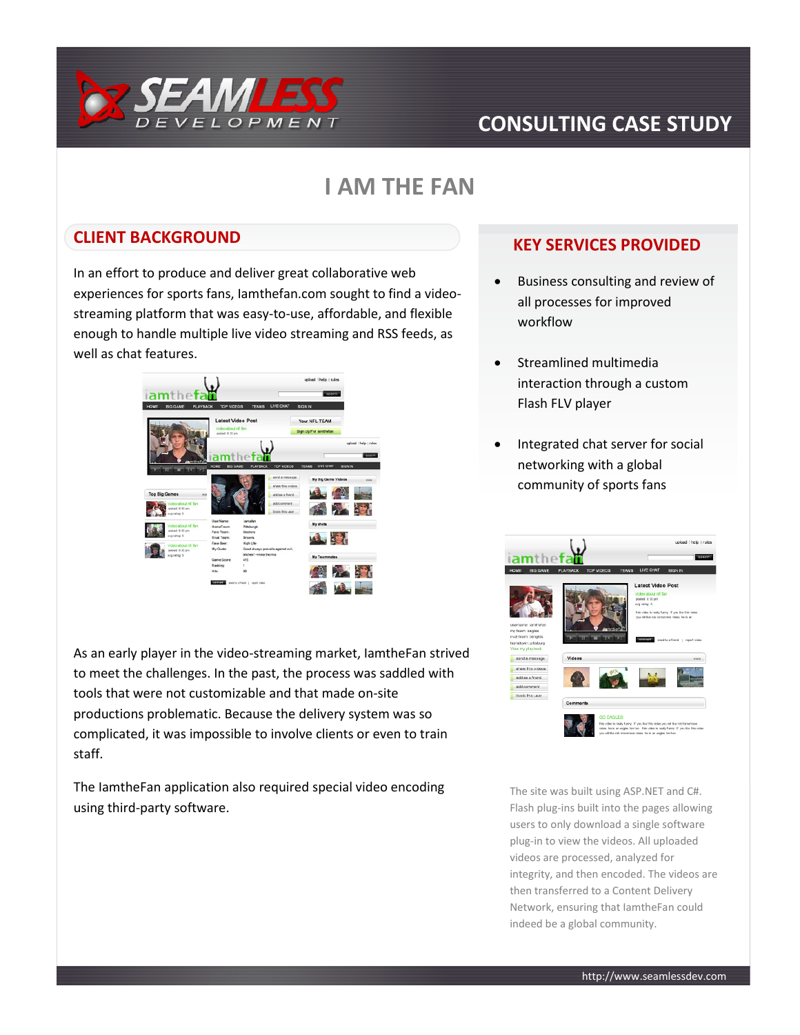

# **CONSULTING CASE STUDY**

## **I AM THE FAN**

### **CLIENT BACKGROUND**

In an effort to produce and deliver great collaborative web experiences for sports fans, Iamthefan.com sought to find a videostreaming platform that was easy-to-use, affordable, and flexible enough to handle multiple live video streaming and RSS feeds, as well as chat features.



As an early player in the video-streaming market, IamtheFan strived to meet the challenges. In the past, the process was saddled with tools that were not customizable and that made on-site productions problematic. Because the delivery system was so complicated, it was impossible to involve clients or even to train staff.

The IamtheFan application also required special video encoding using third-party software.

### **KEY SERVICES PROVIDED**

- Business consulting and review of all processes for improved workflow
- Streamlined multimedia interaction through a custom Flash FLV player
- Integrated chat server for social networking with a global community of sports fans



The site was built using ASP.NET and C#. Flash plug-ins built into the pages allowing users to only download a single software plug-in to view the videos. All uploaded videos are processed, analyzed for integrity, and then encoded. The videos are then transferred to a Content Delivery Network, ensuring that IamtheFan could indeed be a global community.